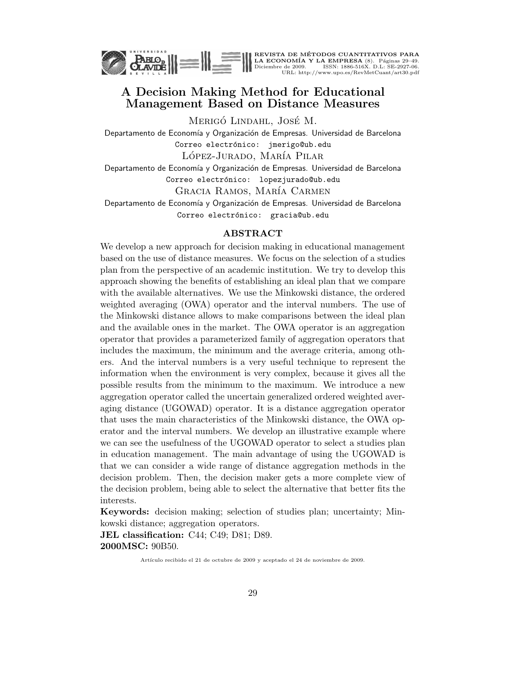

REVISTA DE MÉTODOS CUANTITATIVOS PARA<br>LA ECONOMÍA Y LA EMPRESA (8). Páginas 29–49.<br>Diciembre de 2009. ISSN: 1886-516X. D.L: SE-2927-06.<br>URL: http://www.upo.es/RevMetCuant/art30.pdf

# A Decision Making Method for Educational Management Based on Distance Measures

Merigó Lindahl, José M.

Departamento de Economía y Organización de Empresas. Universidad de Barcelona Correo electrónico: jmerigo@ub.edu LÓPEZ-JURADO, MARÍA PILAR

Departamento de Economía y Organización de Empresas. Universidad de Barcelona Correo electrónico: lopezjurado@ub.edu

GRACIA RAMOS, MARÍA CARMEN

Departamento de Economía y Organización de Empresas. Universidad de Barcelona Correo electrónico: gracia@ub.edu

#### ABSTRACT

We develop a new approach for decision making in educational management based on the use of distance measures. We focus on the selection of a studies plan from the perspective of an academic institution. We try to develop this approach showing the benefits of establishing an ideal plan that we compare with the available alternatives. We use the Minkowski distance, the ordered weighted averaging (OWA) operator and the interval numbers. The use of the Minkowski distance allows to make comparisons between the ideal plan and the available ones in the market. The OWA operator is an aggregation operator that provides a parameterized family of aggregation operators that includes the maximum, the minimum and the average criteria, among others. And the interval numbers is a very useful technique to represent the information when the environment is very complex, because it gives all the possible results from the minimum to the maximum. We introduce a new aggregation operator called the uncertain generalized ordered weighted averaging distance (UGOWAD) operator. It is a distance aggregation operator that uses the main characteristics of the Minkowski distance, the OWA operator and the interval numbers. We develop an illustrative example where we can see the usefulness of the UGOWAD operator to select a studies plan in education management. The main advantage of using the UGOWAD is that we can consider a wide range of distance aggregation methods in the decision problem. Then, the decision maker gets a more complete view of the decision problem, being able to select the alternative that better fits the interests.

Keywords: decision making; selection of studies plan; uncertainty; Minkowski distance; aggregation operators.

JEL classification: C44; C49; D81; D89. 2000MSC: 90B50.

Artículo recibido el 21 de octubre de 2009 y aceptado el 24 de noviembre de 2009.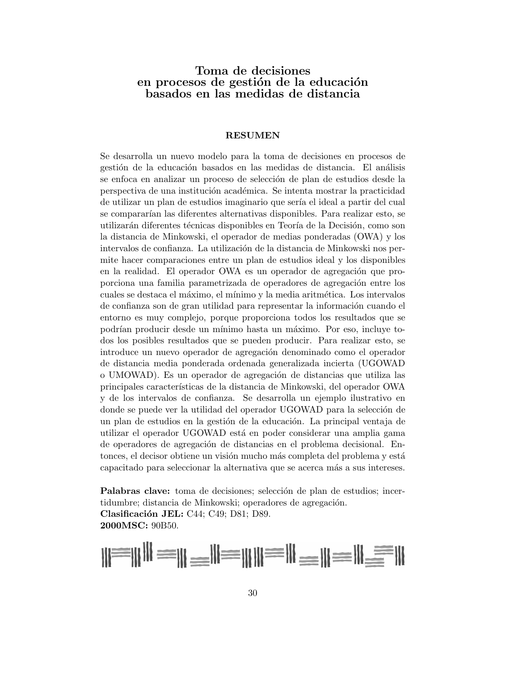# Toma de decisiones en procesos de gestión de la educación basados en las medidas de distancia

#### RESUMEN

Se desarrolla un nuevo modelo para la toma de decisiones en procesos de gestión de la educación basados en las medidas de distancia. El análisis se enfoca en analizar un proceso de selección de plan de estudios desde la perspectiva de una institución académica. Se intenta mostrar la practicidad de utilizar un plan de estudios imaginario que sería el ideal a partir del cual se compararían las diferentes alternativas disponibles. Para realizar esto, se utilizarán diferentes técnicas disponibles en Teoría de la Decisión, como son la distancia de Minkowski, el operador de medias ponderadas (OWA) y los intervalos de confianza. La utilización de la distancia de Minkowski nos permite hacer comparaciones entre un plan de estudios ideal y los disponibles en la realidad. El operador OWA es un operador de agregación que proporciona una familia parametrizada de operadores de agregación entre los cuales se destaca el máximo, el mínimo y la media aritmética. Los intervalos de confianza son de gran utilidad para representar la información cuando el entorno es muy complejo, porque proporciona todos los resultados que se podrían producir desde un mínimo hasta un máximo. Por eso, incluve todos los posibles resultados que se pueden producir. Para realizar esto, se introduce un nuevo operador de agregación denominado como el operador de distancia media ponderada ordenada generalizada incierta (UGOWAD o UMOWAD). Es un operador de agregación de distancias que utiliza las principales caracter´ısticas de la distancia de Minkowski, del operador OWA y de los intervalos de confianza. Se desarrolla un ejemplo ilustrativo en donde se puede ver la utilidad del operador UGOWAD para la selección de un plan de estudios en la gestión de la educación. La principal ventaja de utilizar el operador UGOWAD está en poder considerar una amplia gama de operadores de agregación de distancias en el problema decisional. Entonces, el decisor obtiene un visión mucho más completa del problema y está capacitado para seleccionar la alternativa que se acerca más a sus intereses.

Palabras clave: toma de decisiones; selección de plan de estudios; incertidumbre; distancia de Minkowski; operadores de agregación. Clasificación JEL: C44; C49; D81; D89. 2000MSC: 90B50.

$$
\| \cdot \|_1 = \| \cdot \|_2 = \| \cdot \|_2 = \| \cdot \|_2 = \| \cdot \|_2 = \| \cdot \|_2 = \| \cdot \|_2 = \| \cdot \|_2 = \| \cdot \|_2 = \| \cdot \|_2 = \| \cdot \|_2 = \| \cdot \|_2 = \| \cdot \|_2 = \| \cdot \|_2 = \| \cdot \|_2 = \| \cdot \|_2 = \| \cdot \|_2 = \| \cdot \|_2 = \| \cdot \|_2 = \| \cdot \|_2 = \| \cdot \|_2 = \| \cdot \|_2 = \| \cdot \|_2 = \| \cdot \|_2 = \| \cdot \|_2 = \| \cdot \|_2 = \| \cdot \|_2 = \| \cdot \|_2 = \| \cdot \|_2 = \| \cdot \|_2 = \| \cdot \|_2 = \| \cdot \|_2 = \| \cdot \|_2 = \| \cdot \|_2 = \| \cdot \|_2 = \| \cdot \|_2 = \| \cdot \|_2 = \| \cdot \|_2 = \| \cdot \|_2 = \| \cdot \|_2 = \| \cdot \|_2 = \| \cdot \|_2 = \| \cdot \|_2 = \| \cdot \|_2 = \| \cdot \|_2 = \| \cdot \|_2 = \| \cdot \|_2 = \| \cdot \|_2 = \| \cdot \|_2 = \| \cdot \|_2 = \| \cdot \|_2 = \| \cdot \|_2 = \| \cdot \|_2 = \| \cdot \|_2 = \| \cdot \|_2 = \| \cdot \|_2 = \| \cdot \|_2 = \| \cdot \|_2 = \| \cdot \|_2 = \| \cdot \|_2 = \| \cdot \|_2 = \| \cdot \|_2 = \| \cdot \|_2 = \| \cdot \|_2 = \| \cdot \|_2 = \| \cdot \|_2 = \| \cdot \|_2 = \| \cdot \|_2 = \| \cdot \|_2 = \| \cdot \|_2 = \| \cdot \|_2 = \| \cdot \|_2 = \| \cdot \|_2 = \| \cdot \|_2 = \| \cdot \|_2 = \| \cdot \|_2 = \| \cdot \|_2 = \| \cdot \|_2 = \| \cdot \|_2 = \| \cdot \|_2 = \| \cdot \|_2 = \| \cdot \|_2 = \| \cdot \|_2 = \| \cdot \|_2 = \| \cdot \|_2 = \| \cdot \|_2 = \| \cdot \|_2 = \| \cdot \|_2 = \| \cdot \|_2 = \| \cdot \|_2 = \| \cdot \|_2 = \| \cdot \|_2 = \| \cdot \|_2 = \| \cdot \|_2 = \| \cdot \|_2 = \| \cdot \|_2 = \| \cdot \|_2 = \| \cdot \|_2 = \| \cdot \|_2 = \| \cdot \|_2 = \| \cdot \|_2 = \| \cdot \|_2 = \| \cdot \|_2 = \| \cdot \|_2 = \| \cdot \|_2 = \| \cdot \|_2 = \| \cdot \|_2 = \| \cdot \|_2 = \| \cdot
$$

 $0.000$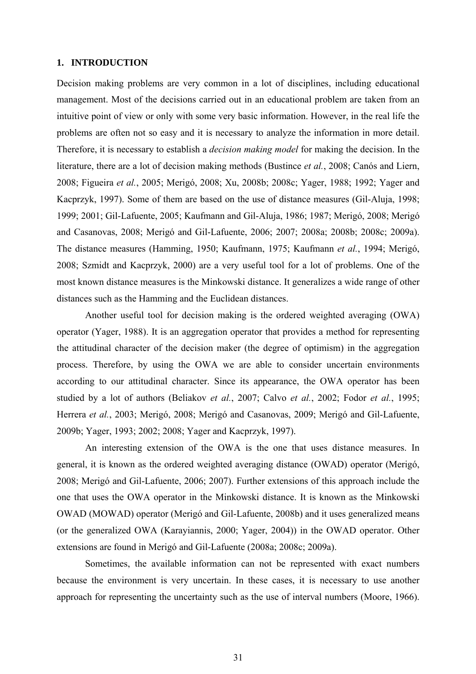# **1. INTRODUCTION**

Decision making problems are very common in a lot of disciplines, including educational management. Most of the decisions carried out in an educational problem are taken from an intuitive point of view or only with some very basic information. However, in the real life the problems are often not so easy and it is necessary to analyze the information in more detail. Therefore, it is necessary to establish a *decision making model* for making the decision. In the literature, there are a lot of decision making methods (Bustince *et al.*, 2008; Canós and Liern, 2008; Figueira *et al.*, 2005; Merigó, 2008; Xu, 2008b; 2008c; Yager, 1988; 1992; Yager and Kacprzyk, 1997). Some of them are based on the use of distance measures (Gil-Aluja, 1998; 1999; 2001; Gil-Lafuente, 2005; Kaufmann and Gil-Aluja, 1986; 1987; Merigó, 2008; Merigó and Casanovas, 2008; Merigó and Gil-Lafuente, 2006; 2007; 2008a; 2008b; 2008c; 2009a). The distance measures (Hamming, 1950; Kaufmann, 1975; Kaufmann *et al.*, 1994; Merigó, 2008; Szmidt and Kacprzyk, 2000) are a very useful tool for a lot of problems. One of the most known distance measures is the Minkowski distance. It generalizes a wide range of other distances such as the Hamming and the Euclidean distances.

Another useful tool for decision making is the ordered weighted averaging (OWA) operator (Yager, 1988). It is an aggregation operator that provides a method for representing the attitudinal character of the decision maker (the degree of optimism) in the aggregation process. Therefore, by using the OWA we are able to consider uncertain environments according to our attitudinal character. Since its appearance, the OWA operator has been studied by a lot of authors (Beliakov *et al.*, 2007; Calvo *et al.*, 2002; Fodor *et al.*, 1995; Herrera *et al.*, 2003; Merigó, 2008; Merigó and Casanovas, 2009; Merigó and Gil-Lafuente, 2009b; Yager, 1993; 2002; 2008; Yager and Kacprzyk, 1997).

An interesting extension of the OWA is the one that uses distance measures. In general, it is known as the ordered weighted averaging distance (OWAD) operator (Merigó, 2008; Merigó and Gil-Lafuente, 2006; 2007). Further extensions of this approach include the one that uses the OWA operator in the Minkowski distance. It is known as the Minkowski OWAD (MOWAD) operator (Merigó and Gil-Lafuente, 2008b) and it uses generalized means (or the generalized OWA (Karayiannis, 2000; Yager, 2004)) in the OWAD operator. Other extensions are found in Merigó and Gil-Lafuente (2008a; 2008c; 2009a).

Sometimes, the available information can not be represented with exact numbers because the environment is very uncertain. In these cases, it is necessary to use another approach for representing the uncertainty such as the use of interval numbers (Moore, 1966).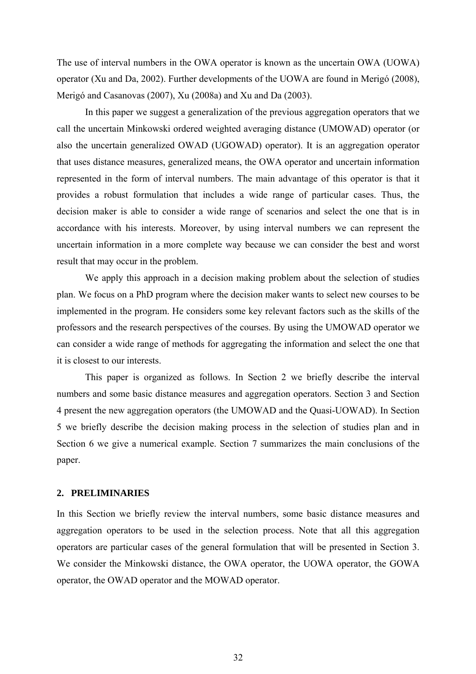The use of interval numbers in the OWA operator is known as the uncertain OWA (UOWA) operator (Xu and Da, 2002). Further developments of the UOWA are found in Merigó (2008), Merigó and Casanovas (2007), Xu (2008a) and Xu and Da (2003).

In this paper we suggest a generalization of the previous aggregation operators that we call the uncertain Minkowski ordered weighted averaging distance (UMOWAD) operator (or also the uncertain generalized OWAD (UGOWAD) operator). It is an aggregation operator that uses distance measures, generalized means, the OWA operator and uncertain information represented in the form of interval numbers. The main advantage of this operator is that it provides a robust formulation that includes a wide range of particular cases. Thus, the decision maker is able to consider a wide range of scenarios and select the one that is in accordance with his interests. Moreover, by using interval numbers we can represent the uncertain information in a more complete way because we can consider the best and worst result that may occur in the problem.

We apply this approach in a decision making problem about the selection of studies plan. We focus on a PhD program where the decision maker wants to select new courses to be implemented in the program. He considers some key relevant factors such as the skills of the professors and the research perspectives of the courses. By using the UMOWAD operator we can consider a wide range of methods for aggregating the information and select the one that it is closest to our interests.

This paper is organized as follows. In Section 2 we briefly describe the interval numbers and some basic distance measures and aggregation operators. Section 3 and Section 4 present the new aggregation operators (the UMOWAD and the Quasi-UOWAD). In Section 5 we briefly describe the decision making process in the selection of studies plan and in Section 6 we give a numerical example. Section 7 summarizes the main conclusions of the paper.

## **2. PRELIMINARIES**

In this Section we briefly review the interval numbers, some basic distance measures and aggregation operators to be used in the selection process. Note that all this aggregation operators are particular cases of the general formulation that will be presented in Section 3. We consider the Minkowski distance, the OWA operator, the UOWA operator, the GOWA operator, the OWAD operator and the MOWAD operator.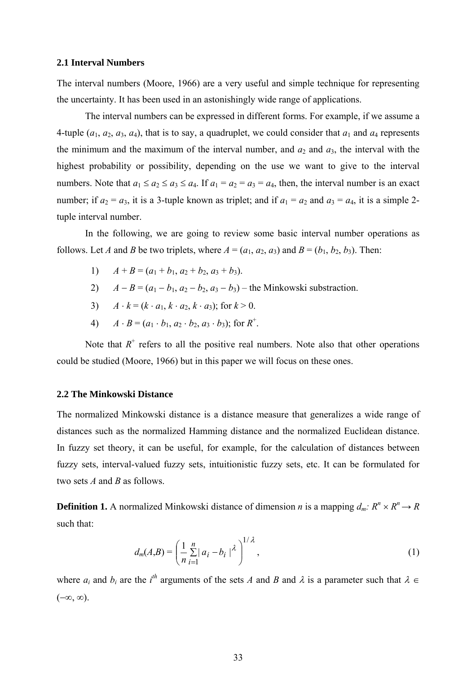#### **2.1 Interval Numbers**

The interval numbers (Moore, 1966) are a very useful and simple technique for representing the uncertainty. It has been used in an astonishingly wide range of applications.

The interval numbers can be expressed in different forms. For example, if we assume a 4-tuple  $(a_1, a_2, a_3, a_4)$ , that is to say, a quadruplet, we could consider that  $a_1$  and  $a_4$  represents the minimum and the maximum of the interval number, and  $a_2$  and  $a_3$ , the interval with the highest probability or possibility, depending on the use we want to give to the interval numbers. Note that  $a_1 \le a_2 \le a_3 \le a_4$ . If  $a_1 = a_2 = a_3 = a_4$ , then, the interval number is an exact number; if  $a_2 = a_3$ , it is a 3-tuple known as triplet; and if  $a_1 = a_2$  and  $a_3 = a_4$ , it is a simple 2tuple interval number.

In the following, we are going to review some basic interval number operations as follows. Let *A* and *B* be two triplets, where  $A = (a_1, a_2, a_3)$  and  $B = (b_1, b_2, b_3)$ . Then:

- 1)  $A + B = (a_1 + b_1, a_2 + b_2, a_3 + b_3).$
- 2)  $A B = (a_1 b_1, a_2 b_2, a_3 b_3)$  the Minkowski substraction.
- 3)  $A \cdot k = (k \cdot a_1, k \cdot a_2, k \cdot a_3)$ ; for  $k > 0$ .
- 4)  $A \cdot B = (a_1 \cdot b_1, a_2 \cdot b_2, a_3 \cdot b_3)$ ; for  $R^+$ .

Note that  $R^+$  refers to all the positive real numbers. Note also that other operations could be studied (Moore, 1966) but in this paper we will focus on these ones.

## **2.2 The Minkowski Distance**

The normalized Minkowski distance is a distance measure that generalizes a wide range of distances such as the normalized Hamming distance and the normalized Euclidean distance. In fuzzy set theory, it can be useful, for example, for the calculation of distances between fuzzy sets, interval-valued fuzzy sets, intuitionistic fuzzy sets, etc. It can be formulated for two sets *A* and *B* as follows.

**Definition 1.** A normalized Minkowski distance of dimension *n* is a mapping  $d_m: R^n \times R^n \rightarrow R$ such that:

$$
d_m(A,B) = \left(\frac{1}{n}\sum_{i=1}^n |a_i - b_i|^{\lambda}\right)^{1/\lambda},\tag{1}
$$

where  $a_i$  and  $b_i$  are the  $i^{th}$  arguments of the sets *A* and *B* and  $\lambda$  is a parameter such that  $\lambda \in$  $(-\infty, \infty)$ .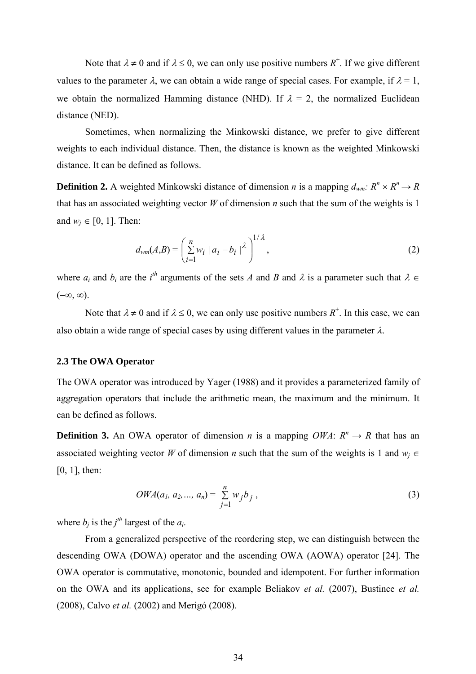Note that  $\lambda \neq 0$  and if  $\lambda \leq 0$ , we can only use positive numbers  $R^+$ . If we give different values to the parameter  $\lambda$ , we can obtain a wide range of special cases. For example, if  $\lambda = 1$ , we obtain the normalized Hamming distance (NHD). If  $\lambda = 2$ , the normalized Euclidean distance (NED).

Sometimes, when normalizing the Minkowski distance, we prefer to give different weights to each individual distance. Then, the distance is known as the weighted Minkowski distance. It can be defined as follows.

**Definition 2.** A weighted Minkowski distance of dimension *n* is a mapping  $d_{wm}$ :  $R^n \times R^n \rightarrow R$ that has an associated weighting vector *W* of dimension *n* such that the sum of the weights is 1 and  $w_i \in [0, 1]$ . Then:

$$
d_{wm}(A,B) = \left(\sum_{i=1}^{n} w_i \mid a_i - b_i \mid^{\lambda}\right)^{1/\lambda},\tag{2}
$$

where  $a_i$  and  $b_i$  are the  $i^{th}$  arguments of the sets *A* and *B* and  $\lambda$  is a parameter such that  $\lambda \in$  $(-\infty, \infty)$ .

Note that  $\lambda \neq 0$  and if  $\lambda \leq 0$ , we can only use positive numbers  $R^+$ . In this case, we can also obtain a wide range of special cases by using different values in the parameter  $\lambda$ .

## **2.3 The OWA Operator**

The OWA operator was introduced by Yager (1988) and it provides a parameterized family of aggregation operators that include the arithmetic mean, the maximum and the minimum. It can be defined as follows.

**Definition 3.** An OWA operator of dimension *n* is a mapping *OWA*:  $R^n \rightarrow R$  that has an associated weighting vector *W* of dimension *n* such that the sum of the weights is 1 and  $w_i \in$ [0, 1], then:

$$
OWA(a_1, a_2, ..., a_n) = \sum_{j=1}^{n} w_j b_j,
$$
\n(3)

where  $b_i$  is the  $i^{th}$  largest of the  $a_i$ .

From a generalized perspective of the reordering step, we can distinguish between the descending OWA (DOWA) operator and the ascending OWA (AOWA) operator [24]. The OWA operator is commutative, monotonic, bounded and idempotent. For further information on the OWA and its applications, see for example Beliakov *et al.* (2007), Bustince *et al.* (2008), Calvo *et al.* (2002) and Merigó (2008).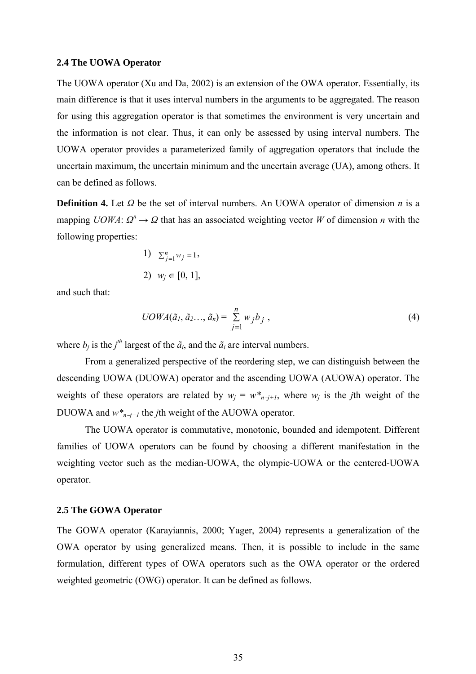#### **2.4 The UOWA Operator**

The UOWA operator (Xu and Da, 2002) is an extension of the OWA operator. Essentially, its main difference is that it uses interval numbers in the arguments to be aggregated. The reason for using this aggregation operator is that sometimes the environment is very uncertain and the information is not clear. Thus, it can only be assessed by using interval numbers. The UOWA operator provides a parameterized family of aggregation operators that include the uncertain maximum, the uncertain minimum and the uncertain average (UA), among others. It can be defined as follows.

**Definition 4.** Let *Ω* be the set of interval numbers. An UOWA operator of dimension *n* is a mapping *UOWA*:  $Q^n \to Q$  that has an associated weighting vector *W* of dimension *n* with the following properties:

1) 
$$
\sum_{j=1}^{n} w_j = 1,
$$
  
2)  $w_j \in [0, 1],$ 

and such that:

$$
UOWA(\tilde{a}_1, \tilde{a}_2, \ldots, \tilde{a}_n) = \sum_{j=1}^n w_j b_j , \qquad (4)
$$

where  $b_j$  is the  $j^{th}$  largest of the  $\tilde{a}_i$ , and the  $\tilde{a}_i$  are interval numbers.

From a generalized perspective of the reordering step, we can distinguish between the descending UOWA (DUOWA) operator and the ascending UOWA (AUOWA) operator. The weights of these operators are related by  $w_j = w^*_{n-j+1}$ , where  $w_j$  is the *j*th weight of the DUOWA and *w\*n*−*j+1* the *j*th weight of the AUOWA operator.

The UOWA operator is commutative, monotonic, bounded and idempotent. Different families of UOWA operators can be found by choosing a different manifestation in the weighting vector such as the median-UOWA, the olympic-UOWA or the centered-UOWA operator.

## **2.5 The GOWA Operator**

The GOWA operator (Karayiannis, 2000; Yager, 2004) represents a generalization of the OWA operator by using generalized means. Then, it is possible to include in the same formulation, different types of OWA operators such as the OWA operator or the ordered weighted geometric (OWG) operator. It can be defined as follows.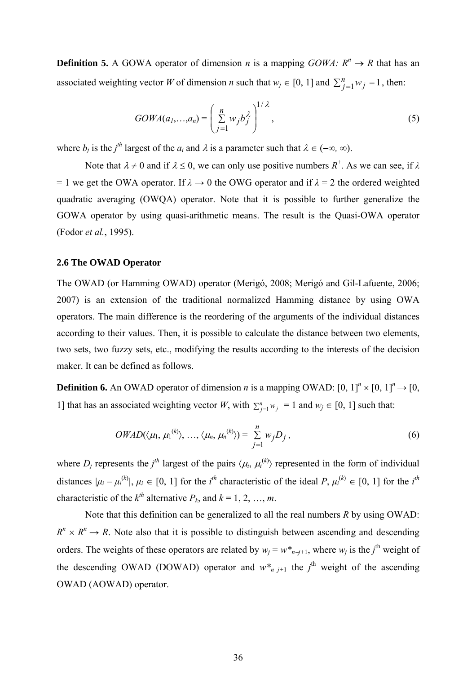**Definition 5.** A GOWA operator of dimension *n* is a mapping  $GOWA: R^n \rightarrow R$  that has an associated weighting vector *W* of dimension *n* such that  $w_j \in [0, 1]$  and  $\sum_{j=1}^{n} w_j = 1$ , then:

$$
GOWA(a_1,...,a_n) = \left(\sum_{j=1}^n w_j b_j^{\lambda}\right)^{1/\lambda},\tag{5}
$$

where  $b_j$  is the *j*<sup>th</sup> largest of the  $a_i$  and  $\lambda$  is a parameter such that  $\lambda \in (-\infty, \infty)$ .

Note that  $\lambda \neq 0$  and if  $\lambda \leq 0$ , we can only use positive numbers  $R^+$ . As we can see, if  $\lambda$ = 1 we get the OWA operator. If  $\lambda \rightarrow 0$  the OWG operator and if  $\lambda = 2$  the ordered weighted quadratic averaging (OWQA) operator. Note that it is possible to further generalize the GOWA operator by using quasi-arithmetic means. The result is the Quasi-OWA operator (Fodor *et al.*, 1995).

## **2.6 The OWAD Operator**

The OWAD (or Hamming OWAD) operator (Merigó, 2008; Merigó and Gil-Lafuente, 2006; 2007) is an extension of the traditional normalized Hamming distance by using OWA operators. The main difference is the reordering of the arguments of the individual distances according to their values. Then, it is possible to calculate the distance between two elements, two sets, two fuzzy sets, etc., modifying the results according to the interests of the decision maker. It can be defined as follows.

**Definition 6.** An OWAD operator of dimension *n* is a mapping OWAD:  $[0, 1]^n \times [0, 1]^n \rightarrow [0, 1]^n$ 1] that has an associated weighting vector *W*, with  $\sum_{j=1}^{n} w_j = 1$  and  $w_j \in [0, 1]$  such that:

$$
OWAD(\langle \mu_1, \mu_1^{(k)} \rangle, \ldots, \langle \mu_n, \mu_n^{(k)} \rangle) = \sum_{j=1}^n w_j D_j , \qquad (6)
$$

where  $D_i$  represents the  $j<sup>th</sup>$  largest of the pairs  $\langle \mu_i, \mu_i^{(k)} \rangle$  represented in the form of individual distances  $|\mu_i - \mu_i^{(k)}|$ ,  $\mu_i \in [0, 1]$  for the  $i^{th}$  characteristic of the ideal  $P$ ,  $\mu_i^{(k)} \in [0, 1]$  for the  $i^{th}$ characteristic of the  $k^{th}$  alternative  $P_k$ , and  $k = 1, 2, ..., m$ .

Note that this definition can be generalized to all the real numbers *R* by using OWAD:  $R^n \times R^n \rightarrow R$ . Note also that it is possible to distinguish between ascending and descending orders. The weights of these operators are related by  $w_j = w^*_{n-j+1}$ , where  $w_j$  is the *j*<sup>th</sup> weight of the descending OWAD (DOWAD) operator and  $w^*_{n-j+1}$  the *j*<sup>th</sup> weight of the ascending OWAD (AOWAD) operator.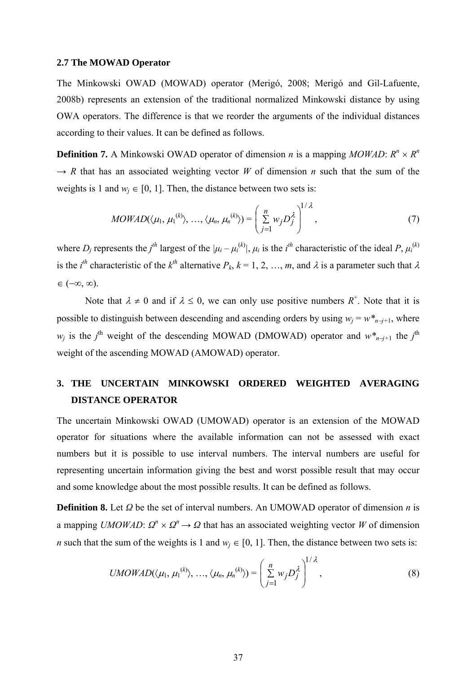#### **2.7 The MOWAD Operator**

The Minkowski OWAD (MOWAD) operator (Merigó, 2008; Merigó and Gil-Lafuente, 2008b) represents an extension of the traditional normalized Minkowski distance by using OWA operators. The difference is that we reorder the arguments of the individual distances according to their values. It can be defined as follows.

**Definition 7.** A Minkowski OWAD operator of dimension *n* is a mapping *MOWAD*:  $R^n \times R^n$  $\rightarrow R$  that has an associated weighting vector *W* of dimension *n* such that the sum of the weights is 1 and  $w_i \in [0, 1]$ . Then, the distance between two sets is:

$$
MOWAD(\langle \mu_1, \mu_1^{(k)} \rangle, \ldots, \langle \mu_n, \mu_n^{(k)} \rangle) = \left( \sum_{j=1}^n w_j D_j^{\lambda} \right)^{1/\lambda}, \qquad (7)
$$

where  $D_j$  represents the  $j^{th}$  largest of the  $|\mu_i - \mu_i^{(k)}|$ ,  $\mu_i$  is the  $i^{th}$  characteristic of the ideal P,  $\mu_i^{(k)}$ is the *i*<sup>th</sup> characteristic of the  $k$ <sup>th</sup> alternative  $P_k$ ,  $k = 1, 2, ..., m$ , and  $\lambda$  is a parameter such that  $\lambda$  $\in (-\infty, \infty)$ .

Note that  $\lambda \neq 0$  and if  $\lambda \leq 0$ , we can only use positive numbers  $R^+$ . Note that it is possible to distinguish between descending and ascending orders by using  $w_i = w^*_{n-i+1}$ , where *w<sub>j</sub>* is the *j*<sup>th</sup> weight of the descending MOWAD (DMOWAD) operator and  $w^*_{n-j+1}$  the *j*<sup>th</sup> weight of the ascending MOWAD (AMOWAD) operator.

# **3. THE UNCERTAIN MINKOWSKI ORDERED WEIGHTED AVERAGING DISTANCE OPERATOR**

The uncertain Minkowski OWAD (UMOWAD) operator is an extension of the MOWAD operator for situations where the available information can not be assessed with exact numbers but it is possible to use interval numbers. The interval numbers are useful for representing uncertain information giving the best and worst possible result that may occur and some knowledge about the most possible results. It can be defined as follows.

**Definition 8.** Let *Ω* be the set of interval numbers. An UMOWAD operator of dimension *n* is a mapping *UMOWAD*:  $Q^n \times Q^n \rightarrow Q$  that has an associated weighting vector *W* of dimension *n* such that the sum of the weights is 1 and  $w_i \in [0, 1]$ . Then, the distance between two sets is:

$$
UMOWAD(\langle \mu_1, \mu_1^{(k)} \rangle, \ldots, \langle \mu_n, \mu_n^{(k)} \rangle) = \left( \sum_{j=1}^n w_j D_j^{\lambda} \right)^{1/\lambda}, \qquad (8)
$$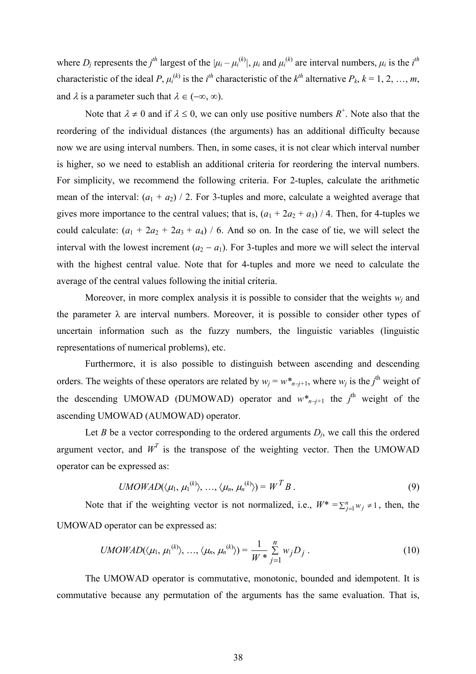where  $D_i$  represents the  $j^{th}$  largest of the  $|\mu_i - \mu_i^{(k)}|$ ,  $\mu_i$  and  $\mu_i^{(k)}$  are interval numbers,  $\mu_i$  is the  $i^{th}$ characteristic of the ideal *P*,  $\mu_i^{(k)}$  is the *i*<sup>th</sup> characteristic of the  $k^{th}$  alternative  $P_k$ ,  $k = 1, 2, ..., m$ , and  $\lambda$  is a parameter such that  $\lambda \in (-\infty, \infty)$ .

Note that  $\lambda \neq 0$  and if  $\lambda \leq 0$ , we can only use positive numbers  $R^+$ . Note also that the reordering of the individual distances (the arguments) has an additional difficulty because now we are using interval numbers. Then, in some cases, it is not clear which interval number is higher, so we need to establish an additional criteria for reordering the interval numbers. For simplicity, we recommend the following criteria. For 2-tuples, calculate the arithmetic mean of the interval:  $(a_1 + a_2)$  / 2. For 3-tuples and more, calculate a weighted average that gives more importance to the central values; that is,  $(a_1 + 2a_2 + a_3)$  / 4. Then, for 4-tuples we could calculate:  $(a_1 + 2a_2 + 2a_3 + a_4)$  / 6. And so on. In the case of tie, we will select the interval with the lowest increment  $(a_2 - a_1)$ . For 3-tuples and more we will select the interval with the highest central value. Note that for 4-tuples and more we need to calculate the average of the central values following the initial criteria.

Moreover, in more complex analysis it is possible to consider that the weights  $w_i$  and the parameter  $\lambda$  are interval numbers. Moreover, it is possible to consider other types of uncertain information such as the fuzzy numbers, the linguistic variables (linguistic representations of numerical problems), etc.

Furthermore, it is also possible to distinguish between ascending and descending orders. The weights of these operators are related by  $w_j = w^*_{n-j+1}$ , where  $w_j$  is the *j*<sup>th</sup> weight of the descending UMOWAD (DUMOWAD) operator and  $w^*_{n-j+1}$  the *j*<sup>th</sup> weight of the ascending UMOWAD (AUMOWAD) operator.

Let *B* be a vector corresponding to the ordered arguments  $D_i$ , we call this the ordered argument vector, and  $W<sup>T</sup>$  is the transpose of the weighting vector. Then the UMOWAD operator can be expressed as:

$$
UMOWAD(\langle \mu_1, \mu_1^{(k)} \rangle, \ldots, \langle \mu_n, \mu_n^{(k)} \rangle) = W^T B. \tag{9}
$$

Note that if the weighting vector is not normalized, i.e.,  $W^* = \sum_{j=1}^n w_j \neq 1$ , then, the UMOWAD operator can be expressed as:

$$
UMOWAD(\langle \mu_1, \mu_1^{(k)} \rangle, \ldots, \langle \mu_n, \mu_n^{(k)} \rangle) = \frac{1}{W *} \sum_{j=1}^n w_j D_j.
$$
 (10)

The UMOWAD operator is commutative, monotonic, bounded and idempotent. It is commutative because any permutation of the arguments has the same evaluation. That is,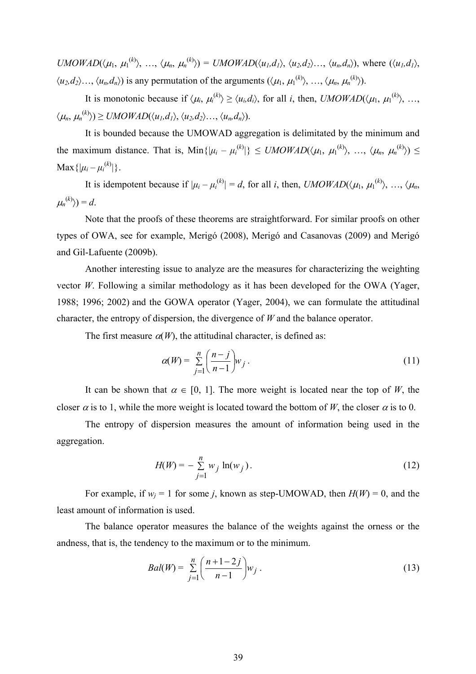$UMOWAD(\langle \mu_1, \mu_1^{(k)} \rangle, \ldots, \langle \mu_n, \mu_n^{(k)} \rangle) = UMOWAD(\langle u_1, d_1 \rangle, \langle u_2, d_2 \rangle, \ldots, \langle u_n, d_n \rangle)$ , where  $(\langle u_1, d_1 \rangle, \langle u_2, d_2 \rangle)$  $\langle u_2, d_2 \rangle \dots, \langle u_n, d_n \rangle$  is any permutation of the arguments  $(\langle \mu_1, \mu_1^{(k)} \rangle, \dots, \langle \mu_n, \mu_n^{(k)} \rangle)$ .

It is monotonic because if  $\langle \mu_i, \mu_i^{(k)} \rangle \ge \langle u_i, d_i \rangle$ , for all *i*, then, *UMOWAD*( $\langle \mu_1, \mu_1^{(k)} \rangle$ , ...,  $\langle \mu_n, \mu_n^{(k)} \rangle \geq \text{UMOWAD}(\langle u_1, d_1 \rangle, \langle u_2, d_2 \rangle \dots, \langle u_n, d_n \rangle).$ 

It is bounded because the UMOWAD aggregation is delimitated by the minimum and the maximum distance. That is,  $Min\{|\mu_i - \mu_i^{(k)}|\} \leq UMOWAD(\langle \mu_1, \mu_1^{(k)} \rangle, \ldots, \langle \mu_n, \mu_n^{(k)} \rangle) \leq$  $\text{Max}\{|\mu_i - \mu_i^{(k)}|\}.$ 

It is idempotent because if  $|\mu_i - \mu_i^{(k)}| = d$ , for all *i*, then, *UMOWAD*( $\langle \mu_1, \mu_1^{(k)} \rangle$ , ...,  $\langle \mu_n, \mu_n^{(k)} \rangle$  $\langle \mu_n^{(k)} \rangle = d$ .

Note that the proofs of these theorems are straightforward. For similar proofs on other types of OWA, see for example, Merigó (2008), Merigó and Casanovas (2009) and Merigó and Gil-Lafuente (2009b).

Another interesting issue to analyze are the measures for characterizing the weighting vector *W*. Following a similar methodology as it has been developed for the OWA (Yager, 1988; 1996; 2002) and the GOWA operator (Yager, 2004), we can formulate the attitudinal character, the entropy of dispersion, the divergence of *W* and the balance operator.

The first measure  $\alpha(W)$ , the attitudinal character, is defined as:

$$
\alpha(W) = \sum_{j=1}^{n} \left( \frac{n-j}{n-1} \right) w_j . \tag{11}
$$

It can be shown that  $\alpha \in [0, 1]$ . The more weight is located near the top of *W*, the closer  $\alpha$  is to 1, while the more weight is located toward the bottom of *W*, the closer  $\alpha$  is to 0.

The entropy of dispersion measures the amount of information being used in the aggregation.

$$
H(W) = -\sum_{j=1}^{n} w_j \ln(w_j).
$$
 (12)

For example, if  $w_i = 1$  for some *j*, known as step-UMOWAD, then  $H(W) = 0$ , and the least amount of information is used.

The balance operator measures the balance of the weights against the orness or the andness, that is, the tendency to the maximum or to the minimum.

$$
Bal(W) = \sum_{j=1}^{n} \left( \frac{n+1-2j}{n-1} \right) w_j . \tag{13}
$$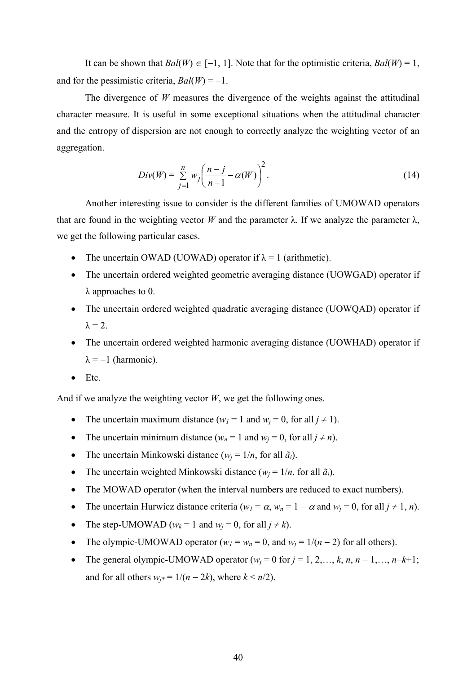It can be shown that *Bal*(*W*) ∈ [−1, 1]. Note that for the optimistic criteria, *Bal*(*W*) = 1, and for the pessimistic criteria,  $Bal(W) = -1$ .

The divergence of *W* measures the divergence of the weights against the attitudinal character measure. It is useful in some exceptional situations when the attitudinal character and the entropy of dispersion are not enough to correctly analyze the weighting vector of an aggregation.

$$
Div(W) = \sum_{j=1}^{n} w_j \left( \frac{n-j}{n-1} - \alpha(W) \right)^2.
$$
 (14)

Another interesting issue to consider is the different families of UMOWAD operators that are found in the weighting vector *W* and the parameter  $\lambda$ . If we analyze the parameter  $\lambda$ , we get the following particular cases.

- The uncertain OWAD (UOWAD) operator if  $\lambda = 1$  (arithmetic).
- The uncertain ordered weighted geometric averaging distance (UOWGAD) operator if λ approaches to 0.
- The uncertain ordered weighted quadratic averaging distance (UOWQAD) operator if  $\lambda = 2$ .
- The uncertain ordered weighted harmonic averaging distance (UOWHAD) operator if  $\lambda = -1$  (harmonic).
- Etc.

And if we analyze the weighting vector *W*, we get the following ones.

- The uncertain maximum distance  $(w_l = 1$  and  $w_i = 0$ , for all  $j \neq 1$ ).
- The uncertain minimum distance  $(w_n = 1 \text{ and } w_j = 0, \text{ for all } j \neq n)$ .
- The uncertain Minkowski distance  $(w_i = 1/n)$ , for all  $\tilde{a}_i$ ).
- The uncertain weighted Minkowski distance  $(w_i = 1/n)$ , for all  $\tilde{a}_i$ ).
- The MOWAD operator (when the interval numbers are reduced to exact numbers).
- The uncertain Hurwicz distance criteria ( $w_1 = \alpha$ ,  $w_n = 1 \alpha$  and  $w_i = 0$ , for all  $j \neq 1, n$ ).
- The step-UMOWAD ( $w_k = 1$  and  $w_i = 0$ , for all  $j \neq k$ ).
- The olympic-UMOWAD operator  $(w_l = w_n = 0$ , and  $w_i = 1/(n-2)$  for all others).
- The general olympic-UMOWAD operator  $(w_i = 0$  for  $j = 1, 2, \ldots, k, n, n-1, \ldots, n-k+1;$ and for all others  $w_i = 1/(n - 2k)$ , where  $k \le n/2$ ).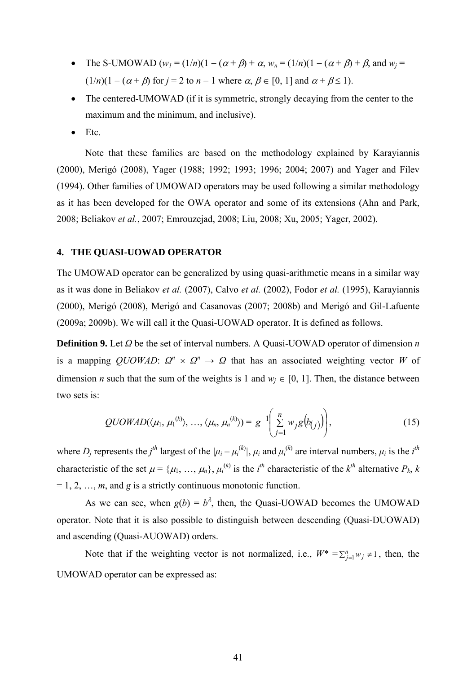- The S-UMOWAD  $(w_1 = (1/n)(1 (\alpha + \beta) + \alpha, w_n = (1/n)(1 (\alpha + \beta) + \beta, \text{ and } w_i =$  $(1/n)(1 - (\alpha + \beta)$  for  $j = 2$  to  $n - 1$  where  $\alpha, \beta \in [0, 1]$  and  $\alpha + \beta \le 1$ ).
- The centered-UMOWAD (if it is symmetric, strongly decaying from the center to the maximum and the minimum, and inclusive).
- Etc.

Note that these families are based on the methodology explained by Karayiannis (2000), Merigó (2008), Yager (1988; 1992; 1993; 1996; 2004; 2007) and Yager and Filev (1994). Other families of UMOWAD operators may be used following a similar methodology as it has been developed for the OWA operator and some of its extensions (Ahn and Park, 2008; Beliakov *et al.*, 2007; Emrouzejad, 2008; Liu, 2008; Xu, 2005; Yager, 2002).

# **4. THE QUASI-UOWAD OPERATOR**

The UMOWAD operator can be generalized by using quasi-arithmetic means in a similar way as it was done in Beliakov *et al.* (2007), Calvo *et al.* (2002), Fodor *et al.* (1995), Karayiannis (2000), Merigó (2008), Merigó and Casanovas (2007; 2008b) and Merigó and Gil-Lafuente (2009a; 2009b). We will call it the Quasi-UOWAD operator. It is defined as follows.

**Definition 9.** Let *Ω* be the set of interval numbers. A Quasi-UOWAD operator of dimension *n* is a mapping *QUOWAD*:  $Q^n \times Q^n \rightarrow Q$  that has an associated weighting vector *W* of dimension *n* such that the sum of the weights is 1 and  $w_i \in [0, 1]$ . Then, the distance between two sets is:

$$
QUOWAD(\langle \mu_1, \mu_1^{(k)} \rangle, ..., \langle \mu_n, \mu_n^{(k)} \rangle) = g^{-1} \left( \sum_{j=1}^n w_j g(b_{(j)}) \right), \qquad (15)
$$

where  $D_j$  represents the  $j^{th}$  largest of the  $|\mu_i - \mu_i^{(k)}|$ ,  $\mu_i$  and  $\mu_i^{(k)}$  are interval numbers,  $\mu_i$  is the  $i^{th}$ characteristic of the set  $\mu = {\mu_1, ..., \mu_n}$ ,  $\mu_i^{(k)}$  is the *i*<sup>th</sup> characteristic of the  $k^{th}$  alternative  $P_k$ , *k*  $= 1, 2, \ldots, m$ , and *g* is a strictly continuous monotonic function.

As we can see, when  $g(b) = b^{\lambda}$ , then, the Quasi-UOWAD becomes the UMOWAD operator. Note that it is also possible to distinguish between descending (Quasi-DUOWAD) and ascending (Quasi-AUOWAD) orders.

Note that if the weighting vector is not normalized, i.e.,  $W^* = \sum_{j=1}^n w_j \neq 1$ , then, the UMOWAD operator can be expressed as: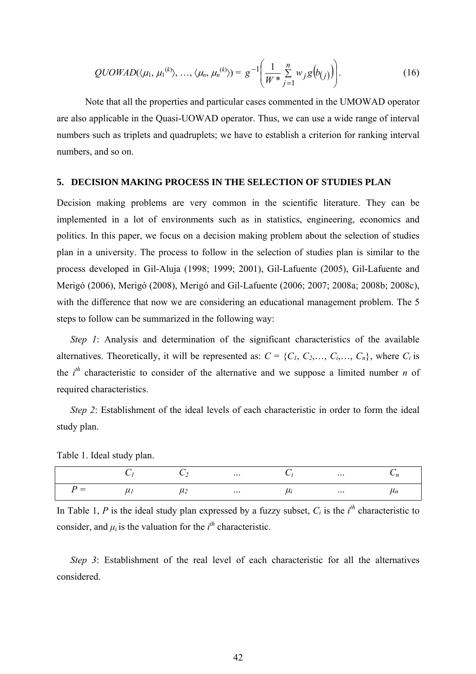$$
QUOWAD(\langle \mu_1, \mu_1^{(k)} \rangle, \ldots, \langle \mu_n, \mu_n^{(k)} \rangle) = g^{-1} \bigg( \frac{1}{W^*} \sum_{j=1}^n w_j g(b_{(j)}) \bigg). \tag{16}
$$

Note that all the properties and particular cases commented in the UMOWAD operator are also applicable in the Quasi-UOWAD operator. Thus, we can use a wide range of interval numbers such as triplets and quadruplets; we have to establish a criterion for ranking interval numbers, and so on.

#### **5. DECISION MAKING PROCESS IN THE SELECTION OF STUDIES PLAN**

Decision making problems are very common in the scientific literature. They can be implemented in a lot of environments such as in statistics, engineering, economics and politics. In this paper, we focus on a decision making problem about the selection of studies plan in a university. The process to follow in the selection of studies plan is similar to the process developed in Gil-Aluja (1998; 1999; 2001), Gil-Lafuente (2005), Gil-Lafuente and Merigó (2006), Merigó (2008), Merigó and Gil-Lafuente (2006; 2007; 2008a; 2008b; 2008c), with the difference that now we are considering an educational management problem. The 5 steps to follow can be summarized in the following way:

*Step 1*: Analysis and determination of the significant characteristics of the available alternatives. Theoretically, it will be represented as:  $C = \{C_1, C_2, \ldots, C_i, \ldots, C_n\}$ , where  $C_i$  is the  $i<sup>th</sup>$  characteristic to consider of the alternative and we suppose a limited number *n* of required characteristics.

*Step 2*: Establishment of the ideal levels of each characteristic in order to form the ideal study plan.

Table 1. Ideal study plan.

|     |   |             | $\ldots$ | $\cdots$ | n     |
|-----|---|-------------|----------|----------|-------|
| $=$ | u | $\mu_{\mu}$ | $\cdots$ | $\cdots$ | $n_n$ |

In Table 1, *P* is the ideal study plan expressed by a fuzzy subset,  $C_i$  is the  $i^h$  characteristic to consider, and  $\mu_i$  is the valuation for the  $i^{\text{th}}$  characteristic.

*Step 3*: Establishment of the real level of each characteristic for all the alternatives considered.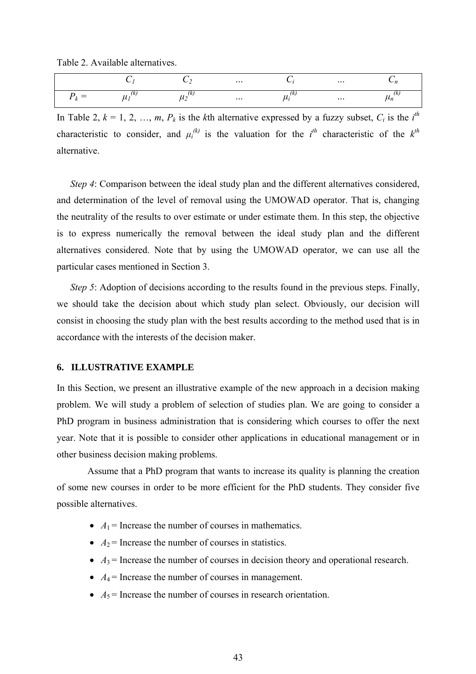Table 2. Available alternatives.

|  |          | $\cdots$ |   | $\cdots$ |                     |
|--|----------|----------|---|----------|---------------------|
|  | ∽<br>ے ۔ | $\cdots$ | ້ | $\cdots$ | "<br>$\mathbf{m}_h$ |

In Table 2,  $k = 1, 2, ..., m$ ,  $P_k$  is the *k*th alternative expressed by a fuzzy subset,  $C_i$  is the  $i<sup>th</sup>$ characteristic to consider, and  $\mu_i^{(k)}$  is the valuation for the *i*<sup>th</sup> characteristic of the  $k^{th}$ alternative.

*Step 4*: Comparison between the ideal study plan and the different alternatives considered, and determination of the level of removal using the UMOWAD operator. That is, changing the neutrality of the results to over estimate or under estimate them. In this step, the objective is to express numerically the removal between the ideal study plan and the different alternatives considered. Note that by using the UMOWAD operator, we can use all the particular cases mentioned in Section 3.

*Step 5*: Adoption of decisions according to the results found in the previous steps. Finally, we should take the decision about which study plan select. Obviously, our decision will consist in choosing the study plan with the best results according to the method used that is in accordance with the interests of the decision maker.

# **6. ILLUSTRATIVE EXAMPLE**

In this Section, we present an illustrative example of the new approach in a decision making problem. We will study a problem of selection of studies plan. We are going to consider a PhD program in business administration that is considering which courses to offer the next year. Note that it is possible to consider other applications in educational management or in other business decision making problems.

 Assume that a PhD program that wants to increase its quality is planning the creation of some new courses in order to be more efficient for the PhD students. They consider five possible alternatives.

- $A_1$  = Increase the number of courses in mathematics.
- $A_2$  = Increase the number of courses in statistics.
- $A_3$  = Increase the number of courses in decision theory and operational research.
- $A_4$  = Increase the number of courses in management.
- $A_5$  = Increase the number of courses in research orientation.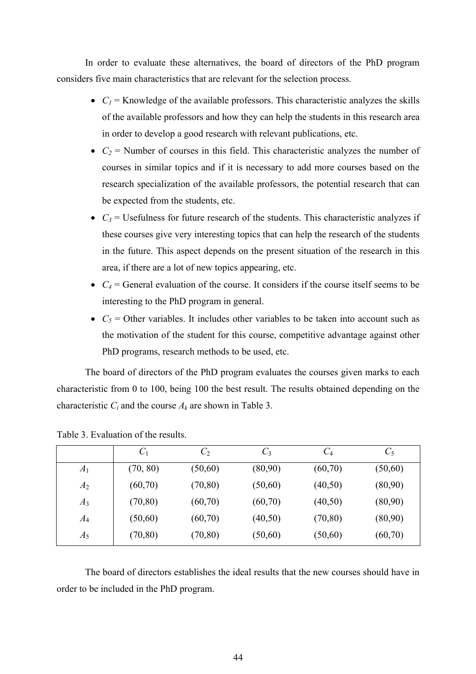In order to evaluate these alternatives, the board of directors of the PhD program considers five main characteristics that are relevant for the selection process.

- $C_1$  = Knowledge of the available professors. This characteristic analyzes the skills of the available professors and how they can help the students in this research area in order to develop a good research with relevant publications, etc.
- $C_2$  = Number of courses in this field. This characteristic analyzes the number of courses in similar topics and if it is necessary to add more courses based on the research specialization of the available professors, the potential research that can be expected from the students, etc.
- $C_3$  = Usefulness for future research of the students. This characteristic analyzes if these courses give very interesting topics that can help the research of the students in the future. This aspect depends on the present situation of the research in this area, if there are a lot of new topics appearing, etc.
- $C_4$  = General evaluation of the course. It considers if the course itself seems to be interesting to the PhD program in general.
- $C_5$  = Other variables. It includes other variables to be taken into account such as the motivation of the student for this course, competitive advantage against other PhD programs, research methods to be used, etc.

The board of directors of the PhD program evaluates the courses given marks to each characteristic from 0 to 100, being 100 the best result. The results obtained depending on the characteristic  $C_i$  and the course  $A_k$  are shown in Table 3.

|       | $C_1$    | C <sub>2</sub> | $C_3$   | $C_4$    | $C_5$    |
|-------|----------|----------------|---------|----------|----------|
| $A_1$ | (70, 80) | (50,60)        | (80,90) | (60, 70) | (50,60)  |
| $A_2$ | (60, 70) | (70, 80)       | (50,60) | (40,50)  | (80,90)  |
| $A_3$ | (70, 80) | (60, 70)       | (60,70) | (40,50)  | (80,90)  |
| $A_4$ | (50,60)  | (60, 70)       | (40,50) | (70, 80) | (80,90)  |
| $A_5$ | (70, 80) | (70, 80)       | (50,60) | (50,60)  | (60, 70) |

Table 3. Evaluation of the results.

The board of directors establishes the ideal results that the new courses should have in order to be included in the PhD program.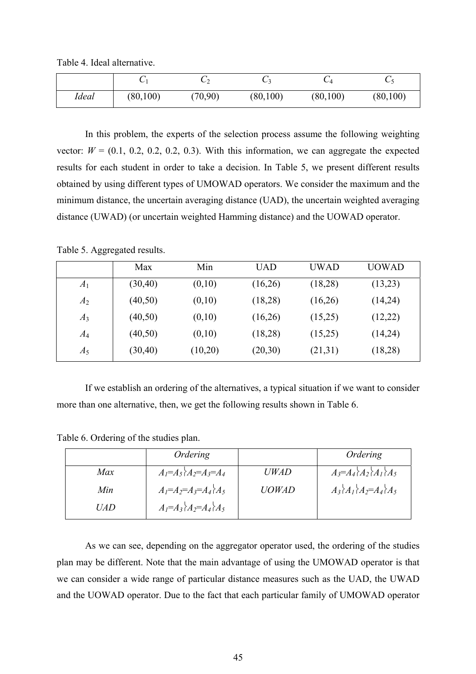Table 4. Ideal alternative.

|       |           |          | ັ         | ◡▵        | ◡         |
|-------|-----------|----------|-----------|-----------|-----------|
| Ideal | (80, 100) | (70, 90) | (80, 100) | (80, 100) | (80, 100) |

In this problem, the experts of the selection process assume the following weighting vector:  $W = (0.1, 0.2, 0.2, 0.2, 0.3)$ . With this information, we can aggregate the expected results for each student in order to take a decision. In Table 5, we present different results obtained by using different types of UMOWAD operators. We consider the maximum and the minimum distance, the uncertain averaging distance (UAD), the uncertain weighted averaging distance (UWAD) (or uncertain weighted Hamming distance) and the UOWAD operator.

Table 5. Aggregated results.

|       | Max      | Min     | <b>UAD</b> | <b>UWAD</b> | <b>UOWAD</b> |
|-------|----------|---------|------------|-------------|--------------|
| $A_1$ | (30, 40) | (0,10)  | (16,26)    | (18,28)     | (13,23)      |
| $A_2$ | (40, 50) | (0,10)  | (18,28)    | (16,26)     | (14,24)      |
| $A_3$ | (40, 50) | (0,10)  | (16,26)    | (15,25)     | (12,22)      |
| $A_4$ | (40, 50) | (0,10)  | (18,28)    | (15,25)     | (14,24)      |
| $A_5$ | (30, 40) | (10,20) | (20,30)    | (21,31)     | (18,28)      |

If we establish an ordering of the alternatives, a typical situation if we want to consider more than one alternative, then, we get the following results shown in Table 6.

Table 6. Ordering of the studies plan.

|            | Ordering                      |              | Ordering                                                           |
|------------|-------------------------------|--------------|--------------------------------------------------------------------|
| Max        | $A_1 = A_5$ $A_2 = A_3 = A_4$ | <i>UWAD</i>  | $A_3 = A_4 \A_2 \A_1 \A_5$                                         |
| Min        | $A_I = A_2 = A_3 = A_4 \ A_5$ | <b>UOWAD</b> | $A_3$ <sub>2</sub> $A_1$ <sub>2</sub> $=$ $A_4$ <sub>2</sub> $A_5$ |
| <i>UAD</i> | $AI=A3$ $A2=A4$ $A5$          |              |                                                                    |

As we can see, depending on the aggregator operator used, the ordering of the studies plan may be different. Note that the main advantage of using the UMOWAD operator is that we can consider a wide range of particular distance measures such as the UAD, the UWAD and the UOWAD operator. Due to the fact that each particular family of UMOWAD operator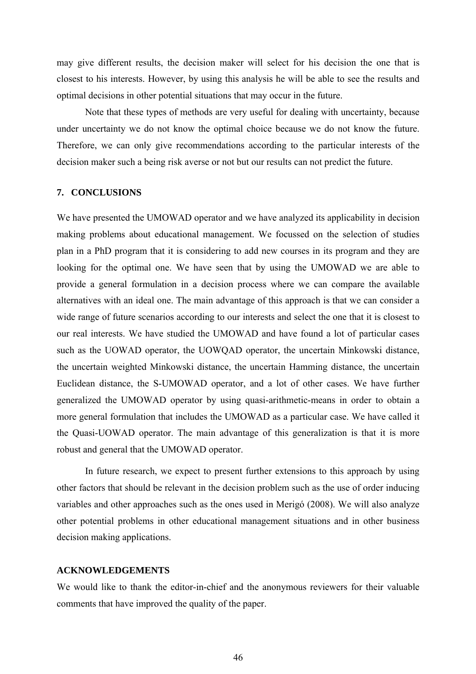may give different results, the decision maker will select for his decision the one that is closest to his interests. However, by using this analysis he will be able to see the results and optimal decisions in other potential situations that may occur in the future.

Note that these types of methods are very useful for dealing with uncertainty, because under uncertainty we do not know the optimal choice because we do not know the future. Therefore, we can only give recommendations according to the particular interests of the decision maker such a being risk averse or not but our results can not predict the future.

# **7. CONCLUSIONS**

We have presented the UMOWAD operator and we have analyzed its applicability in decision making problems about educational management. We focussed on the selection of studies plan in a PhD program that it is considering to add new courses in its program and they are looking for the optimal one. We have seen that by using the UMOWAD we are able to provide a general formulation in a decision process where we can compare the available alternatives with an ideal one. The main advantage of this approach is that we can consider a wide range of future scenarios according to our interests and select the one that it is closest to our real interests. We have studied the UMOWAD and have found a lot of particular cases such as the UOWAD operator, the UOWQAD operator, the uncertain Minkowski distance, the uncertain weighted Minkowski distance, the uncertain Hamming distance, the uncertain Euclidean distance, the S-UMOWAD operator, and a lot of other cases. We have further generalized the UMOWAD operator by using quasi-arithmetic-means in order to obtain a more general formulation that includes the UMOWAD as a particular case. We have called it the Quasi-UOWAD operator. The main advantage of this generalization is that it is more robust and general that the UMOWAD operator.

In future research, we expect to present further extensions to this approach by using other factors that should be relevant in the decision problem such as the use of order inducing variables and other approaches such as the ones used in Merigó (2008). We will also analyze other potential problems in other educational management situations and in other business decision making applications.

#### **ACKNOWLEDGEMENTS**

We would like to thank the editor-in-chief and the anonymous reviewers for their valuable comments that have improved the quality of the paper.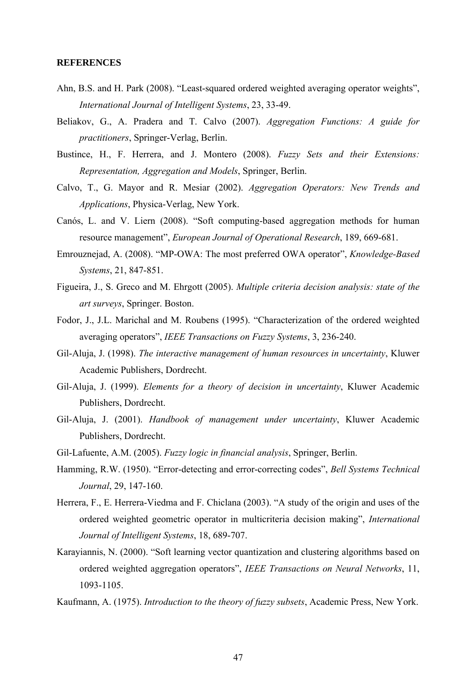## **REFERENCES**

- Ahn, B.S. and H. Park (2008). "Least-squared ordered weighted averaging operator weights", *International Journal of Intelligent Systems*, 23, 33-49.
- Beliakov, G., A. Pradera and T. Calvo (2007). *Aggregation Functions: A guide for practitioners*, Springer-Verlag, Berlin.
- Bustince, H., F. Herrera, and J. Montero (2008). *Fuzzy Sets and their Extensions: Representation, Aggregation and Models*, Springer, Berlin.
- Calvo, T., G. Mayor and R. Mesiar (2002). *Aggregation Operators: New Trends and Applications*, Physica-Verlag, New York.
- Canós, L. and V. Liern (2008). "Soft computing-based aggregation methods for human resource management", *European Journal of Operational Research*, 189, 669-681.
- Emrouznejad, A. (2008). "MP-OWA: The most preferred OWA operator", *Knowledge-Based Systems*, 21, 847-851.
- Figueira, J., S. Greco and M. Ehrgott (2005). *Multiple criteria decision analysis: state of the art surveys*, Springer. Boston.
- Fodor, J., J.L. Marichal and M. Roubens (1995). "Characterization of the ordered weighted averaging operators", *IEEE Transactions on Fuzzy Systems*, 3, 236-240.
- Gil-Aluja, J. (1998). *The interactive management of human resources in uncertainty*, Kluwer Academic Publishers, Dordrecht.
- Gil-Aluja, J. (1999). *Elements for a theory of decision in uncertainty*, Kluwer Academic Publishers, Dordrecht.
- Gil-Aluja, J. (2001). *Handbook of management under uncertainty*, Kluwer Academic Publishers, Dordrecht.
- Gil-Lafuente, A.M. (2005). *Fuzzy logic in financial analysis*, Springer, Berlin.
- Hamming, R.W. (1950). "Error-detecting and error-correcting codes", *Bell Systems Technical Journal*, 29, 147-160.
- Herrera, F., E. Herrera-Viedma and F. Chiclana (2003). "A study of the origin and uses of the ordered weighted geometric operator in multicriteria decision making", *International Journal of Intelligent Systems*, 18, 689-707.
- Karayiannis, N. (2000). "Soft learning vector quantization and clustering algorithms based on ordered weighted aggregation operators", *IEEE Transactions on Neural Networks*, 11, 1093-1105.
- Kaufmann, A. (1975). *Introduction to the theory of fuzzy subsets*, Academic Press, New York.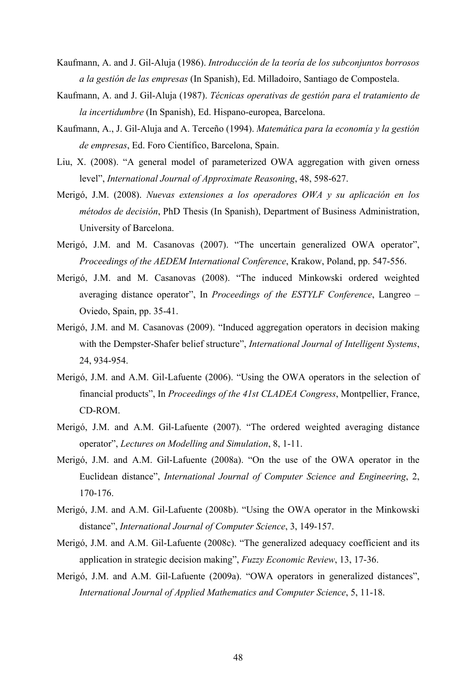- Kaufmann, A. and J. Gil-Aluja (1986). *Introducción de la teoría de los subconjuntos borrosos a la gestión de las empresas* (In Spanish), Ed. Milladoiro, Santiago de Compostela.
- Kaufmann, A. and J. Gil-Aluja (1987). *Técnicas operativas de gestión para el tratamiento de la incertidumbre* (In Spanish), Ed. Hispano-europea, Barcelona.
- Kaufmann, A., J. Gil-Aluja and A. Terceño (1994). *Matemática para la economía y la gestión de empresas*, Ed. Foro Científico, Barcelona, Spain.
- Liu, X. (2008). "A general model of parameterized OWA aggregation with given orness level", *International Journal of Approximate Reasoning*, 48, 598-627.
- Merigó, J.M. (2008). *Nuevas extensiones a los operadores OWA y su aplicación en los métodos de decisión*, PhD Thesis (In Spanish), Department of Business Administration, University of Barcelona.
- Merigó, J.M. and M. Casanovas (2007). "The uncertain generalized OWA operator", *Proceedings of the AEDEM International Conference*, Krakow, Poland, pp. 547-556.
- Merigó, J.M. and M. Casanovas (2008). "The induced Minkowski ordered weighted averaging distance operator", In *Proceedings of the ESTYLF Conference*, Langreo – Oviedo, Spain, pp. 35-41.
- Merigó, J.M. and M. Casanovas (2009). "Induced aggregation operators in decision making with the Dempster-Shafer belief structure", *International Journal of Intelligent Systems*, 24, 934-954.
- Merigó, J.M. and A.M. Gil-Lafuente (2006). "Using the OWA operators in the selection of financial products", In *Proceedings of the 41st CLADEA Congress*, Montpellier, France, CD-ROM.
- Merigó, J.M. and A.M. Gil-Lafuente (2007). "The ordered weighted averaging distance operator", *Lectures on Modelling and Simulation*, 8, 1-11.
- Merigó, J.M. and A.M. Gil-Lafuente (2008a). "On the use of the OWA operator in the Euclidean distance", *International Journal of Computer Science and Engineering*, 2, 170-176.
- Merigó, J.M. and A.M. Gil-Lafuente (2008b). "Using the OWA operator in the Minkowski distance", *International Journal of Computer Science*, 3, 149-157.
- Merigó, J.M. and A.M. Gil-Lafuente (2008c). "The generalized adequacy coefficient and its application in strategic decision making", *Fuzzy Economic Review*, 13, 17-36.
- Merigó, J.M. and A.M. Gil-Lafuente (2009a). "OWA operators in generalized distances", *International Journal of Applied Mathematics and Computer Science*, 5, 11-18.